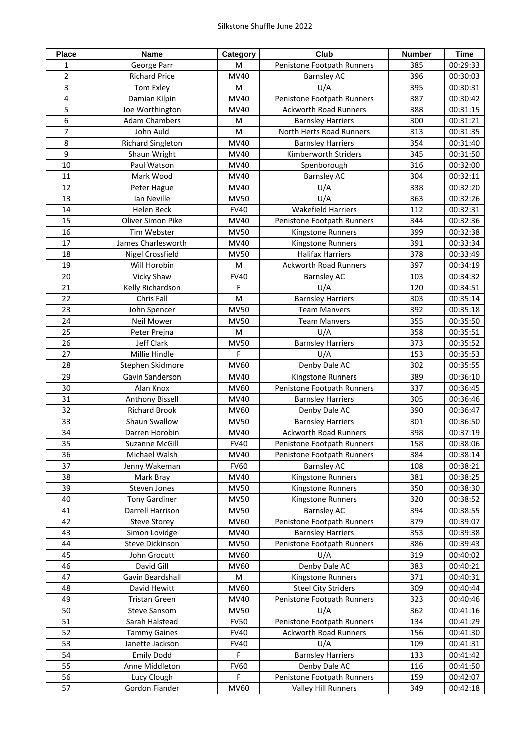| <b>Place</b>   | <b>Name</b>              | Category                                                                                                   | <b>Club</b>                  | <b>Number</b> | <b>Time</b> |
|----------------|--------------------------|------------------------------------------------------------------------------------------------------------|------------------------------|---------------|-------------|
| 1              | George Parr              | M                                                                                                          | Penistone Footpath Runners   | 385           | 00:29:33    |
| $\overline{2}$ | <b>Richard Price</b>     | <b>MV40</b>                                                                                                | <b>Barnsley AC</b>           | 396           | 00:30:03    |
| 3              | Tom Exley                | $\mathsf{M}% _{T}=\mathsf{M}_{T}\!\left( a,b\right) ,\ \mathsf{M}_{T}=\mathsf{M}_{T}\!\left( a,b\right) ,$ | U/A                          | 395           | 00:30:31    |
| 4              | Damian Kilpin            | MV40                                                                                                       | Penistone Footpath Runners   | 387           | 00:30:42    |
| 5              | Joe Worthington          | MV40                                                                                                       | <b>Ackworth Road Runners</b> | 388           | 00:31:15    |
| 6              | <b>Adam Chambers</b>     | M                                                                                                          | <b>Barnsley Harriers</b>     | 300           | 00:31:21    |
| $\overline{7}$ | John Auld                | $\mathsf{M}% _{T}=\mathsf{M}_{T}\!\left( a,b\right) ,\ \mathsf{M}_{T}=\mathsf{M}_{T}\!\left( a,b\right) ,$ | North Herts Road Runners     | 313           | 00:31:35    |
| 8              | <b>Richard Singleton</b> | MV40                                                                                                       | <b>Barnsley Harriers</b>     | 354           | 00:31:40    |
| 9              | Shaun Wright             | MV40                                                                                                       | Kimberworth Striders         | 345           | 00:31:50    |
| 10             | Paul Watson              | MV40                                                                                                       | Spenborough                  | 316           | 00:32:00    |
| 11             | Mark Wood                | MV40                                                                                                       | <b>Barnsley AC</b>           | 304           | 00:32:11    |
|                |                          |                                                                                                            |                              |               |             |
| 12             | Peter Hague              | MV40                                                                                                       | U/A                          | 338           | 00:32:20    |
| 13             | Ian Neville              | <b>MV50</b>                                                                                                | U/A                          | 363           | 00:32:26    |
| 14             | <b>Helen Beck</b>        | <b>FV40</b>                                                                                                | <b>Wakefield Harriers</b>    | 112           | 00:32:31    |
| 15             | <b>Oliver Simon Pike</b> | MV40                                                                                                       | Penistone Footpath Runners   | 344           | 00:32:36    |
| 16             | Tim Webster              | <b>MV50</b>                                                                                                | Kingstone Runners            | 399           | 00:32:38    |
| 17             | James Charlesworth       | MV40                                                                                                       | Kingstone Runners            | 391           | 00:33:34    |
| 18             | Nigel Crossfield         | <b>MV50</b>                                                                                                | <b>Halifax Harriers</b>      | 378           | 00:33:49    |
| 19             | Will Horobin             | M                                                                                                          | <b>Ackworth Road Runners</b> | 397           | 00:34:19    |
| 20             | <b>Vicky Shaw</b>        | <b>FV40</b>                                                                                                | <b>Barnsley AC</b>           | 103           | 00:34:32    |
| 21             | Kelly Richardson         | F                                                                                                          | U/A                          | 120           | 00:34:51    |
| 22             | Chris Fall               | M                                                                                                          | <b>Barnsley Harriers</b>     | 303           | 00:35:14    |
| 23             | John Spencer             | <b>MV50</b>                                                                                                | <b>Team Manvers</b>          | 392           | 00:35:18    |
| 24             | <b>Neil Mower</b>        | <b>MV50</b>                                                                                                | <b>Team Manvers</b>          | 355           | 00:35:50    |
| 25             | Peter Prejna             | M                                                                                                          | U/A                          | 358           | 00:35:51    |
| 26             | Jeff Clark               | <b>MV50</b>                                                                                                | <b>Barnsley Harriers</b>     | 373           | 00:35:52    |
| 27             | Millie Hindle            | F                                                                                                          | U/A                          | 153           | 00:35:53    |
| 28             | Stephen Skidmore         | MV60                                                                                                       | Denby Dale AC                | 302           | 00:35:55    |
| 29             | Gavin Sanderson          | MV40                                                                                                       |                              |               | 00:36:10    |
| 30             | Alan Knox                |                                                                                                            | Kingstone Runners            | 389           |             |
|                |                          | <b>MV60</b>                                                                                                | Penistone Footpath Runners   | 337           | 00:36:45    |
| 31             | Anthony Bissell          | <b>MV40</b>                                                                                                | <b>Barnsley Harriers</b>     | 305           | 00:36:46    |
| 32             | <b>Richard Brook</b>     | <b>MV60</b>                                                                                                | Denby Dale AC                | 390           | 00:36:47    |
| 33             | Shaun Swallow            | <b>MV50</b>                                                                                                | <b>Barnsley Harriers</b>     | 301           | 00:36:50    |
| 34             | Darren Horobin           | MV40                                                                                                       | <b>Ackworth Road Runners</b> | 398           | 00:37:19    |
| 35             | <b>Suzanne McGill</b>    | <b>FV40</b>                                                                                                | Penistone Footpath Runners   | 158           | 00:38:06    |
| 36             | Michael Walsh            | MV40                                                                                                       | Penistone Footpath Runners   | 384           | 00:38:14    |
| 37             | Jenny Wakeman            | <b>FV60</b>                                                                                                | <b>Barnsley AC</b>           | 108           | 00:38:21    |
| 38             | Mark Bray                | MV40                                                                                                       | Kingstone Runners            | 381           | 00:38:25    |
| 39             | Steven Jones             | <b>MV50</b>                                                                                                | Kingstone Runners            | 350           | 00:38:30    |
| 40             | <b>Tony Gardiner</b>     | <b>MV50</b>                                                                                                | Kingstone Runners            | 320           | 00:38:52    |
| 41             | Darrell Harrison         | <b>MV50</b>                                                                                                | <b>Barnsley AC</b>           | 394           | 00:38:55    |
| 42             | <b>Steve Storey</b>      | MV60                                                                                                       | Penistone Footpath Runners   | 379           | 00:39:07    |
| 43             | Simon Lovidge            | MV40                                                                                                       | <b>Barnsley Harriers</b>     | 353           | 00:39:38    |
| 44             | <b>Steve Dickinson</b>   | <b>MV50</b>                                                                                                | Penistone Footpath Runners   | 386           | 00:39:43    |
| 45             | John Grocutt             | <b>MV60</b>                                                                                                | U/A                          | 319           | 00:40:02    |
| 46             | David Gill               | MV60                                                                                                       | Denby Dale AC                | 383           | 00:40:21    |
| 47             | Gavin Beardshall         | M                                                                                                          | Kingstone Runners            | 371           | 00:40:31    |
| 48             | David Hewitt             | MV60                                                                                                       | <b>Steel City Striders</b>   | 309           | 00:40:44    |
| 49             | <b>Tristan Green</b>     | <b>MV40</b>                                                                                                | Penistone Footpath Runners   | 323           | 00:40:46    |
| 50             | <b>Steve Sansom</b>      | <b>MV50</b>                                                                                                | U/A                          | 362           | 00:41:16    |
| 51             | Sarah Halstead           | <b>FV50</b>                                                                                                | Penistone Footpath Runners   | 134           | 00:41:29    |
|                |                          |                                                                                                            |                              |               |             |
| 52             | <b>Tammy Gaines</b>      | <b>FV40</b>                                                                                                | <b>Ackworth Road Runners</b> | 156           | 00:41:30    |
| 53             | Janette Jackson          | <b>FV40</b>                                                                                                | U/A                          | 109           | 00:41:31    |
| 54             | <b>Emily Dodd</b>        | F.                                                                                                         | <b>Barnsley Harriers</b>     | 133           | 00:41:42    |
| 55             | Anne Middleton           | <b>FV60</b>                                                                                                | Denby Dale AC                | 116           | 00:41:50    |
| 56             | Lucy Clough              | F                                                                                                          | Penistone Footpath Runners   | 159           | 00:42:07    |
| 57             | Gordon Fiander           | <b>MV60</b>                                                                                                | <b>Valley Hill Runners</b>   | 349           | 00:42:18    |